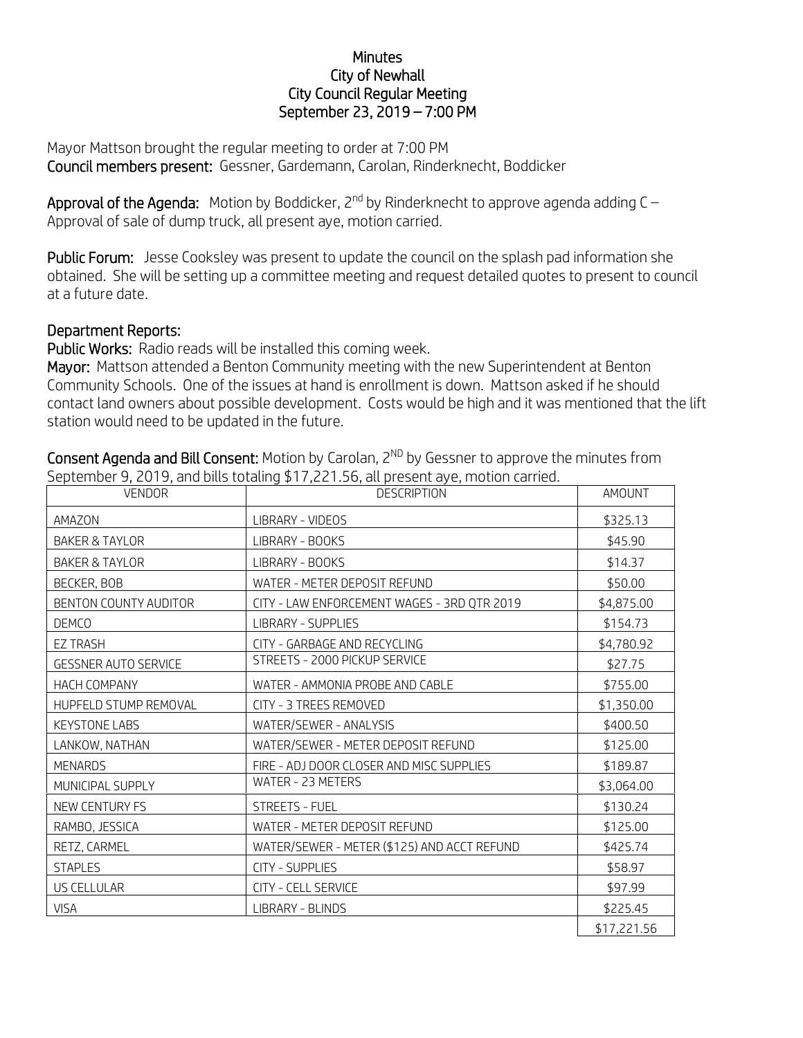## **Minutes** City of Newhall City Council Regular Meeting September 23, 2019 – 7:00 PM

Mayor Mattson brought the regular meeting to order at 7:00 PM Council members present: Gessner, Gardemann, Carolan, Rinderknecht, Boddicker

**Approval of the Agenda:** Motion by Boddicker, 2<sup>nd</sup> by Rinderknecht to approve agenda adding C – Approval of sale of dump truck, all present aye, motion carried.

Public Forum: Jesse Cooksley was present to update the council on the splash pad information she obtained. She will be setting up a committee meeting and request detailed quotes to present to council at a future date.

## Department Reports:

Public Works: Radio reads will be installed this coming week.

Mayor: Mattson attended a Benton Community meeting with the new Superintendent at Benton Community Schools. One of the issues at hand is enrollment is down. Mattson asked if he should contact land owners about possible development. Costs would be high and it was mentioned that the lift station would need to be updated in the future.

| <b>VENDOR</b>               | <b>DESCRIPTION</b>                          | AMOUNT      |
|-----------------------------|---------------------------------------------|-------------|
| AMAZON                      | LIBRARY - VIDEOS                            | \$325.13    |
| <b>BAKER &amp; TAYLOR</b>   | LIBRARY - BOOKS                             | \$45.90     |
| <b>BAKER &amp; TAYLOR</b>   | LIBRARY - BOOKS                             | \$14.37     |
| BECKER, BOB                 | WATER - METER DEPOSIT REFUND                | \$50.00     |
| BENTON COUNTY AUDITOR       | CITY - LAW ENFORCEMENT WAGES - 3RD QTR 2019 | \$4,875.00  |
| <b>DEMCO</b>                | <b>LIBRARY - SUPPLIES</b>                   | \$154.73    |
| <b>EZ TRASH</b>             | CITY - GARBAGE AND RECYCLING                | \$4,780.92  |
| <b>GESSNER AUTO SERVICE</b> | STREETS - 2000 PICKUP SERVICE               | \$27.75     |
| HACH COMPANY                | WATER - AMMONIA PROBE AND CABLE             | \$755.00    |
| HUPFELD STUMP REMOVAL       | CITY - 3 TREES REMOVED                      | \$1,350.00  |
| <b>KEYSTONE LABS</b>        | WATER/SEWER - ANALYSIS                      | \$400.50    |
| LANKOW, NATHAN              | WATER/SEWER - METER DEPOSIT REFUND          | \$125.00    |
| <b>MENARDS</b>              | FIRE - ADJ DOOR CLOSER AND MISC SUPPLIES    | \$189.87    |
| MUNICIPAL SUPPLY            | WATER - 23 METERS                           | \$3,064.00  |
| NEW CENTURY FS              | <b>STREETS - FUEL</b>                       | \$130.24    |
| RAMBO, JESSICA              | WATER - METER DEPOSIT REFUND                | \$125.00    |
| RETZ, CARMEL                | WATER/SEWER - METER (\$125) AND ACCT REFUND | \$425.74    |
| <b>STAPLES</b>              | <b>CITY - SUPPLIES</b>                      | \$58.97     |
| <b>US CELLULAR</b>          | <b>CITY - CELL SERVICE</b>                  | \$97.99     |
| <b>VISA</b>                 | LIBRARY - BLINDS                            | \$225.45    |
|                             |                                             | \$17,221.56 |

Consent Agenda and Bill Consent: Motion by Carolan, 2<sup>ND</sup> by Gessner to approve the minutes from September 9, 2019, and bills totaling \$17,221.56, all present aye, motion carried.